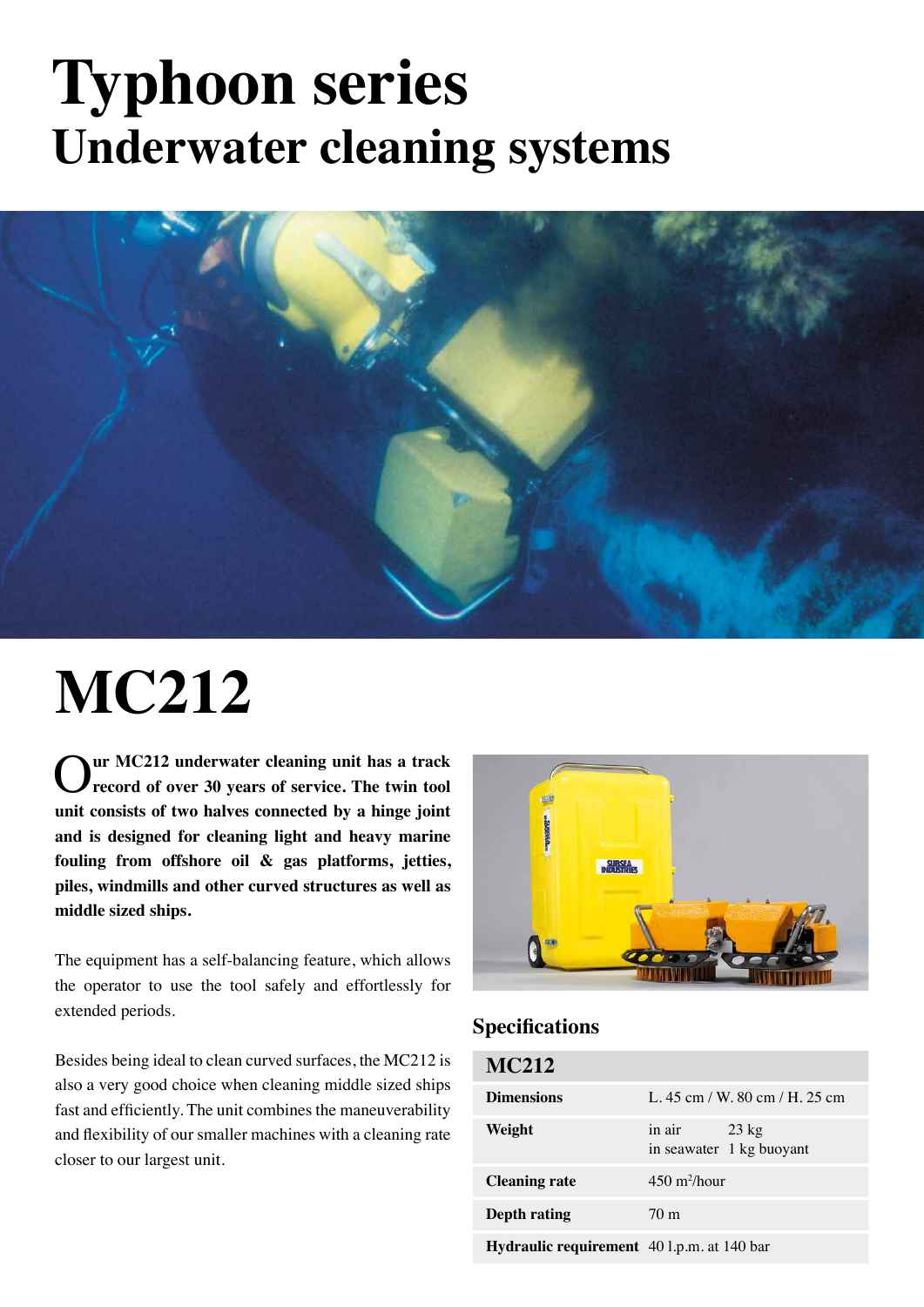### **Typhoon series Underwater cleaning systems**



# **MC212**

O**ur MC212 underwater cleaning unit has a track record of over 30 years of service. The twin tool unit consists of two halves connected by a hinge joint and is designed for cleaning light and heavy marine fouling from offshore oil & gas platforms, jetties, piles, windmills and other curved structures as well as middle sized ships.**

The equipment has a self-balancing feature, which allows the operator to use the tool safely and effortlessly for extended periods.

Besides being ideal to clean curved surfaces, the MC212 is also a very good choice when cleaning middle sized ships fast and efficiently. The unit combines the maneuverability and flexibility of our smaller machines with a cleaning rate closer to our largest unit.



#### **Specifications**

| <b>MC212</b>                               |                                                    |
|--------------------------------------------|----------------------------------------------------|
| <b>Dimensions</b>                          | L, 45 cm / W, 80 cm / H, 25 cm                     |
| Weight                                     | in air $23 \text{ kg}$<br>in seawater 1 kg buoyant |
| <b>Cleaning rate</b>                       | $450 \frac{\text{m}}{\text{h}^2}$ hour             |
| Depth rating                               | 70 <sub>m</sub>                                    |
| Hydraulic requirement 40 l.p.m. at 140 bar |                                                    |